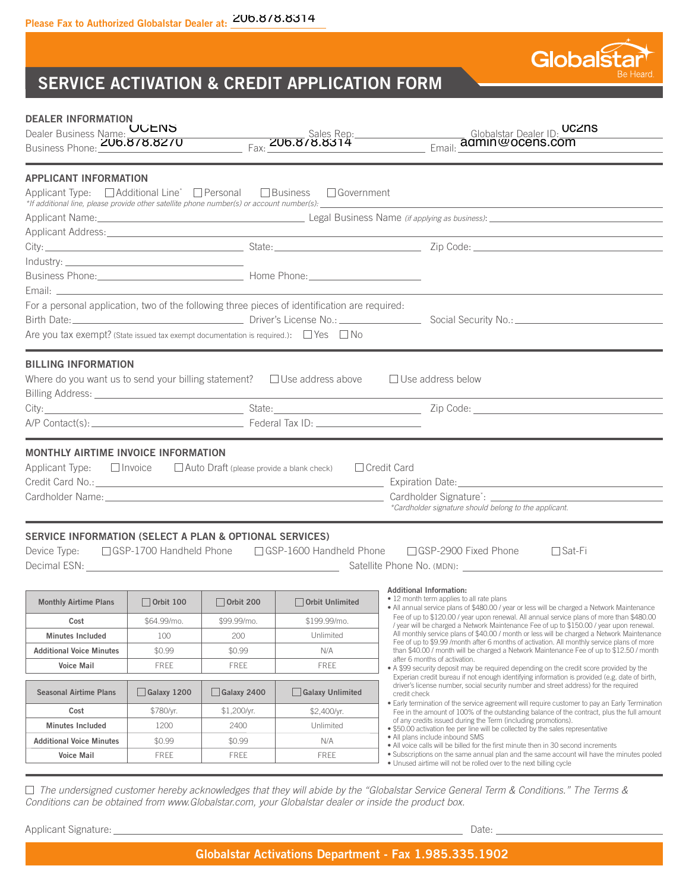

**DEALER INFORMATION**

| Dealer Business Name: UULNS<br>Business Phone: <b>206.878.8270</b>                                                                                                                                      |                     |                     |                                                                                                                                                             | Globalstar Dealer ID: UCZNS<br>Sales Rep.<br>Fax: <b>200.878.8314</b><br>Email: adminiver Dealer ID:                                                                                                                                                                                                                                                                                                                                                                                                                                                                                                        |  |
|---------------------------------------------------------------------------------------------------------------------------------------------------------------------------------------------------------|---------------------|---------------------|-------------------------------------------------------------------------------------------------------------------------------------------------------------|-------------------------------------------------------------------------------------------------------------------------------------------------------------------------------------------------------------------------------------------------------------------------------------------------------------------------------------------------------------------------------------------------------------------------------------------------------------------------------------------------------------------------------------------------------------------------------------------------------------|--|
| <b>APPLICANT INFORMATION</b>                                                                                                                                                                            |                     |                     |                                                                                                                                                             |                                                                                                                                                                                                                                                                                                                                                                                                                                                                                                                                                                                                             |  |
| Applicant Type: $\Box$ Additional Line* $\Box$ Personal $\Box$ Business $\Box$ Government<br>*If additional line, please provide other satellite phone number(s) or account number(s): ________________ |                     |                     |                                                                                                                                                             | <u> 1989 - Johann Stein, marwolaethau a bhann an t-Amhair ann an t-Amhair an t-Amhair an t-Amhair an t-Amhair an</u>                                                                                                                                                                                                                                                                                                                                                                                                                                                                                        |  |
|                                                                                                                                                                                                         |                     |                     |                                                                                                                                                             | Applicant Name: 1990 Manner Communication (if applying as business): 1991 Manner (if applying as business): 1991                                                                                                                                                                                                                                                                                                                                                                                                                                                                                            |  |
|                                                                                                                                                                                                         |                     |                     |                                                                                                                                                             |                                                                                                                                                                                                                                                                                                                                                                                                                                                                                                                                                                                                             |  |
|                                                                                                                                                                                                         |                     |                     |                                                                                                                                                             |                                                                                                                                                                                                                                                                                                                                                                                                                                                                                                                                                                                                             |  |
|                                                                                                                                                                                                         |                     |                     |                                                                                                                                                             |                                                                                                                                                                                                                                                                                                                                                                                                                                                                                                                                                                                                             |  |
|                                                                                                                                                                                                         |                     |                     |                                                                                                                                                             |                                                                                                                                                                                                                                                                                                                                                                                                                                                                                                                                                                                                             |  |
|                                                                                                                                                                                                         |                     |                     |                                                                                                                                                             |                                                                                                                                                                                                                                                                                                                                                                                                                                                                                                                                                                                                             |  |
| For a personal application, two of the following three pieces of identification are required:                                                                                                           |                     |                     |                                                                                                                                                             |                                                                                                                                                                                                                                                                                                                                                                                                                                                                                                                                                                                                             |  |
|                                                                                                                                                                                                         |                     |                     |                                                                                                                                                             |                                                                                                                                                                                                                                                                                                                                                                                                                                                                                                                                                                                                             |  |
| Are you tax exempt? (State issued tax exempt documentation is required.): $\Box$ Yes $\Box$ No                                                                                                          |                     |                     |                                                                                                                                                             |                                                                                                                                                                                                                                                                                                                                                                                                                                                                                                                                                                                                             |  |
| <b>BILLING INFORMATION</b>                                                                                                                                                                              |                     |                     |                                                                                                                                                             | Where do you want us to send your billing statement? $\Box$ Use address above $\Box$ Use address below                                                                                                                                                                                                                                                                                                                                                                                                                                                                                                      |  |
|                                                                                                                                                                                                         |                     |                     |                                                                                                                                                             |                                                                                                                                                                                                                                                                                                                                                                                                                                                                                                                                                                                                             |  |
|                                                                                                                                                                                                         |                     |                     |                                                                                                                                                             |                                                                                                                                                                                                                                                                                                                                                                                                                                                                                                                                                                                                             |  |
|                                                                                                                                                                                                         |                     |                     | Applicant Type: $\Box$ Invoice $\Box$ Auto Draft (please provide a blank check) $\Box$ Credit Card<br>*Cardholder signature should belong to the applicant. |                                                                                                                                                                                                                                                                                                                                                                                                                                                                                                                                                                                                             |  |
| SERVICE INFORMATION (SELECT A PLAN & OPTIONAL SERVICES)<br>Device Type:<br><b>Monthly Airtime Plans</b>                                                                                                 | $\Box$ Orbit 100    | $\Box$ Orbit 200    | Orbit Unlimited                                                                                                                                             | $\Box$ GSP-1700 Handheld Phone $\Box$ GSP-1600 Handheld Phone $\Box$ GSP-2900 Fixed Phone<br>$\square$ Sat-Fi<br><b>Additional Information:</b><br>• 12 month term applies to all rate plans                                                                                                                                                                                                                                                                                                                                                                                                                |  |
|                                                                                                                                                                                                         |                     |                     |                                                                                                                                                             | • All annual service plans of \$480.00 / year or less will be charged a Network Maintenance<br>Fee of up to \$120.00 / year upon renewal. All annual service plans of more than \$480.00<br>/ year will be charged a Network Maintenance Fee of up to \$150.00 / year upon renewal.<br>All monthly service plans of \$40.00 / month or less will be charged a Network Maintenance<br>Fee of up to \$9.99 /month after 6 months of activation. All monthly service plans of more<br>than \$40.00 / month will be charged a Network Maintenance Fee of up to \$12.50 / month<br>after 6 months of activation. |  |
| Cost                                                                                                                                                                                                    | \$64.99/mo.         | \$99.99/mo.         | \$199.99/mo.                                                                                                                                                |                                                                                                                                                                                                                                                                                                                                                                                                                                                                                                                                                                                                             |  |
| <b>Minutes Included</b>                                                                                                                                                                                 | 100                 | 200                 | Unlimited                                                                                                                                                   |                                                                                                                                                                                                                                                                                                                                                                                                                                                                                                                                                                                                             |  |
| <b>Additional Voice Minutes</b>                                                                                                                                                                         | \$0.99              | \$0.99              | N/A                                                                                                                                                         |                                                                                                                                                                                                                                                                                                                                                                                                                                                                                                                                                                                                             |  |
| <b>Voice Mail</b>                                                                                                                                                                                       | <b>FREE</b>         | <b>FREE</b>         | <b>FREE</b>                                                                                                                                                 | • A \$99 security deposit may be required depending on the credit score provided by the<br>Experian credit bureau if not enough identifying information is provided (e.g. date of birth,                                                                                                                                                                                                                                                                                                                                                                                                                    |  |
| <b>Seasonal Airtime Plans</b>                                                                                                                                                                           | $\vert$ Galaxy 1200 | $\vert$ Galaxy 2400 | Galaxy Unlimited                                                                                                                                            | driver's license number, social security number and street address) for the required<br>credit check                                                                                                                                                                                                                                                                                                                                                                                                                                                                                                        |  |
| Cost                                                                                                                                                                                                    | \$780/yr.           | \$1,200/yr.         | \$2,400/yr.                                                                                                                                                 | • Early termination of the service agreement will require customer to pay an Early Termination<br>Fee in the amount of 100% of the outstanding balance of the contract, plus the full amount                                                                                                                                                                                                                                                                                                                                                                                                                |  |
| <b>Minutes Included</b>                                                                                                                                                                                 | 1200                | 2400                | Unlimited                                                                                                                                                   | of any credits issued during the Term (including promotions).<br>. \$50.00 activation fee per line will be collected by the sales representative                                                                                                                                                                                                                                                                                                                                                                                                                                                            |  |
| <b>Additional Voice Minutes</b>                                                                                                                                                                         | \$0.99              | \$0.99              | N/A                                                                                                                                                         | • All plans include inbound SMS<br>. All voice calls will be billed for the first minute then in 30 second increments                                                                                                                                                                                                                                                                                                                                                                                                                                                                                       |  |
| <b>Voice Mail</b>                                                                                                                                                                                       | <b>FREE</b>         | <b>FREE</b>         | <b>FREE</b>                                                                                                                                                 | • Subscriptions on the same annual plan and the same account will have the minutes pooled                                                                                                                                                                                                                                                                                                                                                                                                                                                                                                                   |  |
|                                                                                                                                                                                                         |                     |                     |                                                                                                                                                             | . Unused airtime will not be rolled over to the next billing cycle                                                                                                                                                                                                                                                                                                                                                                                                                                                                                                                                          |  |

 *The undersigned customer hereby acknowledges that they will abide by the "Globalstar Service General Term & Conditions." The Terms & Conditions can be obtained from www.Globalstar.com, your Globalstar dealer or inside the product box.* 

Applicant Signature: Date: Date: Date: Date: Date: Date: Date: Date: Date: Date: Date: Date: Date: Date: Date: Date: Date: Date: Date: Date: Date: Date: Date: Date: Date: Date: Date: Date: Date: Date: Date: Date: Date: Dat

Globalst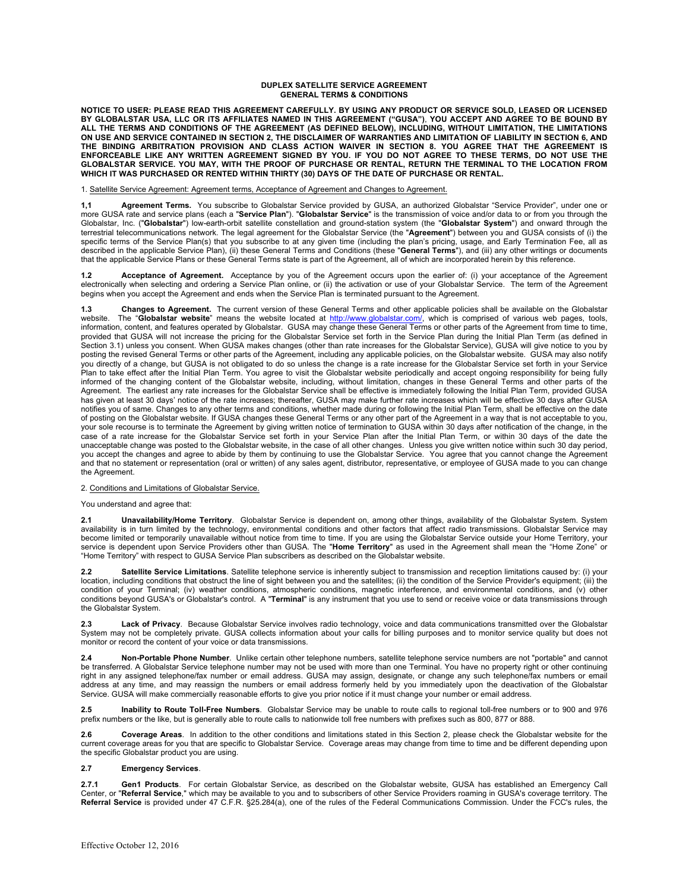### **DUPLEX SATELLITE SERVICE AGREEMENT GENERAL TERMS & CONDITIONS**

**NOTICE TO USER: PLEASE READ THIS AGREEMENT CAREFULLY. BY USING ANY PRODUCT OR SERVICE SOLD, LEASED OR LICENSED**  BY GLOBALSTAR USA, LLC OR ITS AFFILIATES NAMED IN THIS AGREEMENT ("GUSA"), YOU ACCEPT AND AGREE TO BE BOUND BY<br>ALL THE TERMS AND CONDITIONS OF THE AGREEMENT (AS DEFINED BELOW), INCLUDING, WITHOUT LIMITATION, THE LIMITATION ON USE AND SERVICE CONTAINED IN SECTION 2, THE DISCLAIMER OF WARRANTIES AND LIMITATION OF LIABILITY IN SECTION 6, AND<br>THE BINDING ARBITRATION PROVISION AND CLASS ACTION WAIVER IN SECTION 8. YOU AGREE THAT THE ENFORCEABLE LIKE ANY WRITTEN AGREEMENT SIGNED BY YOU. IF YOU DO NOT AGREE TO THESE TERMS, DO NOT USE THE<br>GLOBALSTAR SERVICE. YOU MAY, WITH THE PROOF OF PURCHASE OR RENTAL, RETURN THE TERMINAL TO THE LOCATION FROM **WHICH IT WAS PURCHASED OR RENTED WITHIN THIRTY (30) DAYS OF THE DATE OF PURCHASE OR RENTAL.**

1. Satellite Service Agreement: Agreement terms, Acceptance of Agreement and Changes to Agreement.

**1,1 Prophement Terms.** You subscribe to Globalstar Service provided by GUSA, an authorized Globalstar "Service Provider", under one or<br>more GUSA rate and service plans (each a "**Service Plan**"). "**Globalstar Service**" is Globalstar, Inc. ("**Globalstar**") low-earth-orbit satellite constellation and ground-station system (the "**Globalstar System**") and onward through the terrestrial telecommunications network. The legal agreement for the Globalstar Service (the "**Agreement**") between you and GUSA consists of (i) the specific terms of the Service Plan(s) that you subscribe to at any given time (including the plan's pricing, usage, and Early Termination Fee, all as described in the applicable Service Plan), (ii) these General Terms and Conditions (these "**General Terms**"), and (iii) any other writings or documents that the applicable Service Plans or these General Terms state is part of the Agreement, all of which are incorporated herein by this reference.

**1.2 • Acceptance of Agreement.** Acceptance by you of the Agreement occurs upon the earlier of: (i) your acceptance of the Agreement<br>electronically when selecting and ordering a Service Plan online, or (ii) the activation begins when you accept the Agreement and ends when the Service Plan is terminated pursuant to the Agreement.

**1.3 Changes to Agreement.** The current version of these General Terms and other applicable policies shall be available on the Globalstar website. The "**Globalstar website**" means the website located at <u>http://www.globalstar.com/</u>, which is comprised of various web pages, tools,<br>information, content, and features operated by Globalstar. GUSA may change thes provided that GUSA will not increase the pricing for the Globalstar Service set forth in the Service Plan during the Initial Plan Term (as defined in Section 3.1) unless you consent. When GUSA makes changes (other than rate increases for the Globalstar Service), GUSA will give notice to you by posting the revised General Terms or other parts of the Agreement, including any applicable policies, on the Globalstar website. GUSA may also notify you directly of a change, but GUSA is not obligated to do so unless the change is a rate increase for the Globalstar Service set forth in your Service<br>Plan to take effect after the Initial Plan Term. You agree to visit the informed of the changing content of the Globalstar website, including, without limitation, changes in these General Terms and other parts of the Agreement. The earliest any rate increases for the Globalstar Service shall be effective is immediately following the Initial Plan Term, provided GUSA has given at least 30 days' notice of the rate increases; thereafter, GUSA may make further rate increases which will be effective 30 days after GUSA notifies you of same. Changes to any other terms and conditions, whether made during or following the Initial Plan Term, shall be effective on the date of posting on the Globalstar website. If GUSA changes these General Terms or any other part of the Agreement in a way that is not acceptable to you, your sole recourse is to terminate the Agreement by giving written notice of termination to GUSA within 30 days after notification of the change, in the case of a rate increase for the Globalstar Service set forth in your Service Plan after the Initial Plan Term, or within 30 days of the date the unacceptable change was posted to the Globalstar website, in the case of all other changes. Unless you give written notice within such 30 day period, you accept the changes and agree to abide by them by continuing to use the Globalstar Service. You agree that you cannot change the Agreement and that no statement or representation (oral or written) of any sales agent, distributor, representative, or employee of GUSA made to you can change the Agreement.

## 2. Conditions and Limitations of Globalstar Service.

#### You understand and agree that:

**2.1 Unavailability/Home Territory**. Globalstar Service is dependent on, among other things, availability of the Globalstar System. System availability is in turn limited by the technology, environmental conditions and other factors that affect radio transmissions. Globalstar Service may become limited or temporarily unavailable without notice from time to time. If you are using the Globalstar Service outside your Home Territory, your service is dependent upon Service Providers other than GUSA. The "**Home Territory**" as used in the Agreement shall mean the "Home Zone" or "Home Territory" with respect to GUSA Service Plan subscribers as described on the Globalstar website.

**2.2 Satellite Service Limitations**. Satellite telephone service is inherently subject to transmission and reception limitations caused by: (i) your location, including conditions that obstruct the line of sight between you and the satellites; (ii) the condition of the Service Provider's equipment; (iii) the condition of your Terminal; (iv) weather conditions, atmospheric conditions, magnetic interference, and environmental conditions, and (v) other conditions beyond GUSA's or Globalstar's control. A "**Terminal**" is any instrument that you use to send or receive voice or data transmissions through the Globalstar System.

**2.3 Lack of Privacy**. Because Globalstar Service involves radio technology, voice and data communications transmitted over the Globalstar System may not be completely private. GUSA collects information about your calls for billing purposes and to monitor service quality but does not monitor or record the content of your voice or data transmissions.

**2.4 Non-Portable Phone Number**. Unlike certain other telephone numbers, satellite telephone service numbers are not "portable" and cannot be transferred. A Globalstar Service telephone number may not be used with more than one Terminal. You have no property right or other continuing right in any assigned telephone/fax number or email address. GUSA may assign, designate, or change any such telephone/fax numbers or email address at any time, and may reassign the numbers or email address formerly held by you immediately upon the deactivation of the Globalstar Service. GUSA will make commercially reasonable efforts to give you prior notice if it must change your number or email address.

**2.5 Inability to Route Toll-Free Numbers**. Globalstar Service may be unable to route calls to regional toll-free numbers or to 900 and 976 prefix numbers or the like, but is generally able to route calls to nationwide toll free numbers with prefixes such as 800, 877 or 888.

**2.6 Coverage Areas**. In addition to the other conditions and limitations stated in this Section 2, please check the Globalstar website for the current coverage areas for you that are specific to Globalstar Service. Coverage areas may change from time to time and be different depending upon the specific Globalstar product you are using.

## **2.7 Emergency Services**.

**2.7.1 Gen1 Products**. For certain Globalstar Service, as described on the Globalstar website, GUSA has established an Emergency Call Center, or "**Referral Service**," which may be available to you and to subscribers of other Service Providers roaming in GUSA's coverage territory. The **Referral Service** is provided under 47 C.F.R. §25.284(a), one of the rules of the Federal Communications Commission. Under the FCC's rules, the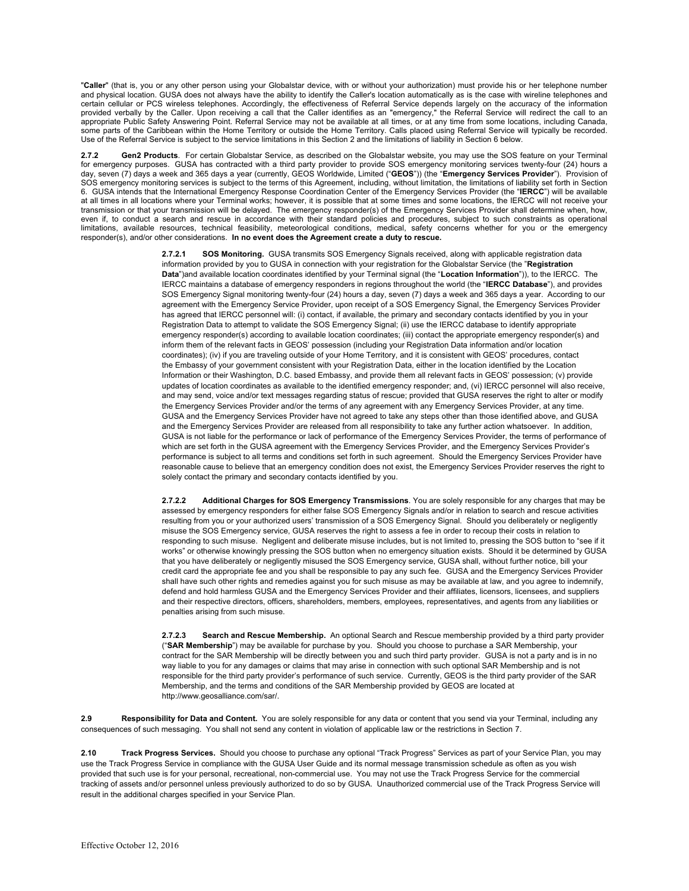"**Caller**" (that is, you or any other person using your Globalstar device, with or without your authorization) must provide his or her telephone number and physical location. GUSA does not always have the ability to identify the Caller's location automatically as is the case with wireline telephones and certain cellular or PCS wireless telephones. Accordingly, the effectiveness of Referral Service depends largely on the accuracy of the information provided verbally by the Caller. Upon receiving a call that the Caller identifies as an "emergency," the Referral Service will redirect the call to an appropriate Public Safety Answering Point. Referral Service may not be available at all times, or at any time from some locations, including Canada, some parts of the Caribbean within the Home Territory or outside the Home Territory. Calls placed using Referral Service will typically be recorded. Use of the Referral Service is subject to the service limitations in this Section 2 and the limitations of liability in Section 6 below.

2.7.2 Gen2 Products. For certain Globalstar Service, as described on the Globalstar website, you may use the SOS feature on your Terminal<br>for emergency purposes. GUSA has contracted with a third party provider to provide S day, seven (7) days a week and 365 days a year (currently, GEOS Worldwide, Limited ("**GEOS**")) (the "**Emergency Services Provider**"). Provision of SOS emergency monitoring services is subject to the terms of this Agreement, including, without limitation, the limitations of liability set forth in Section 6. GUSA intends that the International Emergency Response Coordination Center of the Emergency Services Provider (the "**IERCC**") will be available at all times in all locations where your Terminal works; however, it is possible that at some times and some locations, the IERCC will not receive your transmission or that your transmission will be delayed. The emergency responder(s) of the Emergency Services Provider shall determine when, how, even if, to conduct a search and rescue in accordance with their standard policies and procedures, subject to such constraints as operational limitations, available resources, technical feasibility, meteorological conditions, medical, safety concerns whether for you or the emergency responder(s), and/or other considerations. **In no event does the Agreement create a duty to rescue.** 

> **2.7.2.1 SOS Monitoring.** GUSA transmits SOS Emergency Signals received, along with applicable registration data information provided by you to GUSA in connection with your registration for the Globalstar Service (the "**Registration Data**")and available location coordinates identified by your Terminal signal (the "**Location Information**")), to the IERCC. The IERCC maintains a database of emergency responders in regions throughout the world (the "**IERCC Database**"), and provides SOS Emergency Signal monitoring twenty-four (24) hours a day, seven (7) days a week and 365 days a year. According to our agreement with the Emergency Service Provider, upon receipt of a SOS Emergency Signal, the Emergency Services Provider has agreed that IERCC personnel will: (i) contact, if available, the primary and secondary contacts identified by you in your Registration Data to attempt to validate the SOS Emergency Signal; (ii) use the IERCC database to identify appropriate emergency responder(s) according to available location coordinates; (iii) contact the appropriate emergency responder(s) and inform them of the relevant facts in GEOS' possession (including your Registration Data information and/or location coordinates); (iv) if you are traveling outside of your Home Territory, and it is consistent with GEOS' procedures, contact the Embassy of your government consistent with your Registration Data, either in the location identified by the Location Information or their Washington, D.C. based Embassy, and provide them all relevant facts in GEOS' possession; (v) provide updates of location coordinates as available to the identified emergency responder; and, (vi) IERCC personnel will also receive, and may send, voice and/or text messages regarding status of rescue; provided that GUSA reserves the right to alter or modify the Emergency Services Provider and/or the terms of any agreement with any Emergency Services Provider, at any time. GUSA and the Emergency Services Provider have not agreed to take any steps other than those identified above, and GUSA and the Emergency Services Provider are released from all responsibility to take any further action whatsoever. In addition, GUSA is not liable for the performance or lack of performance of the Emergency Services Provider, the terms of performance of which are set forth in the GUSA agreement with the Emergency Services Provider, and the Emergency Services Provider's performance is subject to all terms and conditions set forth in such agreement. Should the Emergency Services Provider have reasonable cause to believe that an emergency condition does not exist, the Emergency Services Provider reserves the right to solely contact the primary and secondary contacts identified by you.

> **2.7.2.2 Additional Charges for SOS Emergency Transmissions**. You are solely responsible for any charges that may be assessed by emergency responders for either false SOS Emergency Signals and/or in relation to search and rescue activities resulting from you or your authorized users' transmission of a SOS Emergency Signal. Should you deliberately or negligently misuse the SOS Emergency service, GUSA reserves the right to assess a fee in order to recoup their costs in relation to responding to such misuse. Negligent and deliberate misuse includes, but is not limited to, pressing the SOS button to "see if it works" or otherwise knowingly pressing the SOS button when no emergency situation exists. Should it be determined by GUSA that you have deliberately or negligently misused the SOS Emergency service, GUSA shall, without further notice, bill your credit card the appropriate fee and you shall be responsible to pay any such fee. GUSA and the Emergency Services Provider shall have such other rights and remedies against you for such misuse as may be available at law, and you agree to indemnify, defend and hold harmless GUSA and the Emergency Services Provider and their affiliates, licensors, licensees, and suppliers and their respective directors, officers, shareholders, members, employees, representatives, and agents from any liabilities or penalties arising from such misuse.

> **2.7.2.3 Search and Rescue Membership.** An optional Search and Rescue membership provided by a third party provider ("**SAR Membership**") may be available for purchase by you. Should you choose to purchase a SAR Membership, your contract for the SAR Membership will be directly between you and such third party provider. GUSA is not a party and is in no way liable to you for any damages or claims that may arise in connection with such optional SAR Membership and is not responsible for the third party provider's performance of such service. Currently, GEOS is the third party provider of the SAR Membership, and the terms and conditions of the SAR Membership provided by GEOS are located at http://www.geosalliance.com/sar/.

**2.9 Responsibility for Data and Content.** You are solely responsible for any data or content that you send via your Terminal, including any consequences of such messaging. You shall not send any content in violation of applicable law or the restrictions in Section 7.

**2.10 Track Progress Services.** Should you choose to purchase any optional "Track Progress" Services as part of your Service Plan, you may use the Track Progress Service in compliance with the GUSA User Guide and its normal message transmission schedule as often as you wish provided that such use is for your personal, recreational, non-commercial use. You may not use the Track Progress Service for the commercial tracking of assets and/or personnel unless previously authorized to do so by GUSA. Unauthorized commercial use of the Track Progress Service will result in the additional charges specified in your Service Plan.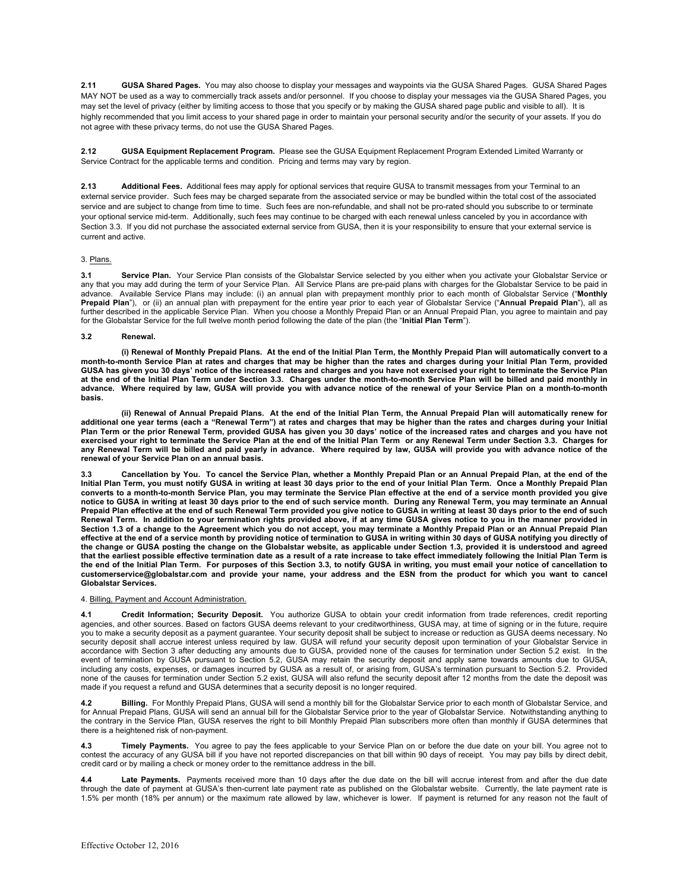**2.11 GUSA Shared Pages.** You may also choose to display your messages and waypoints via the GUSA Shared Pages. GUSA Shared Pages MAY NOT be used as a way to commercially track assets and/or personnel. If you choose to display your messages via the GUSA Shared Pages, you may set the level of privacy (either by limiting access to those that you specify or by making the GUSA shared page public and visible to all). It is highly recommended that you limit access to your shared page in order to maintain your personal security and/or the security of your assets. If you do not agree with these privacy terms, do not use the GUSA Shared Pages.

**2.12 GUSA Equipment Replacement Program.** Please see the GUSA Equipment Replacement Program Extended Limited Warranty or Service Contract for the applicable terms and condition. Pricing and terms may vary by region.

**2.13 Additional Fees.** Additional fees may apply for optional services that require GUSA to transmit messages from your Terminal to an external service provider. Such fees may be charged separate from the associated service or may be bundled within the total cost of the associated service and are subject to change from time to time. Such fees are non-refundable, and shall not be pro-rated should you subscribe to or terminate your optional service mid-term. Additionally, such fees may continue to be charged with each renewal unless canceled by you in accordance with Section 3.3. If you did not purchase the associated external service from GUSA, then it is your responsibility to ensure that your external service is current and active.

## 3. Plans.

**3.1 Service Plan.** Your Service Plan consists of the Globalstar Service selected by you either when you activate your Globalstar Service or any that you may add during the term of your Service Plan. All Service Plans are pre-paid plans with charges for the Globalstar Service to be paid in advance. Available Service Plans may include: (i) an annual plan with prepayment monthly prior to each month of Globalstar Service ("**Monthly Prepaid Plan**"), or (ii) an annual plan with prepayment for the entire year prior to each year of Globalstar Service ("**Annual Prepaid Plan**"), all as further described in the applicable Service Plan. When you choose a Monthly Prepaid Plan or an Annual Prepaid Plan, you agree to maintain and pay for the Globalstar Service for the full twelve month period following the date of the plan (the "**Initial Plan Term**").

### **3.2 Renewal.**

**(i) Renewal of Monthly Prepaid Plans. At the end of the Initial Plan Term, the Monthly Prepaid Plan will automatically convert to a month-to-month Service Plan at rates and charges that may be higher than the rates and charges during your Initial Plan Term, provided GUSA has given you 30 days' notice of the increased rates and charges and you have not exercised your right to terminate the Service Plan at the end of the Initial Plan Term under Section 3.3. Charges under the month-to-month Service Plan will be billed and paid monthly in advance. Where required by law, GUSA will provide you with advance notice of the renewal of your Service Plan on a month-to-month basis.** 

**(ii) Renewal of Annual Prepaid Plans. At the end of the Initial Plan Term, the Annual Prepaid Plan will automatically renew for additional one year terms (each a "Renewal Term") at rates and charges that may be higher than the rates and charges during your Initial Plan Term or the prior Renewal Term, provided GUSA has given you 30 days' notice of the increased rates and charges and you have not exercised your right to terminate the Service Plan at the end of the Initial Plan Term or any Renewal Term under Section 3.3. Charges for any Renewal Term will be billed and paid yearly in advance. Where required by law, GUSA will provide you with advance notice of the renewal of your Service Plan on an annual basis.**

**3.3 Cancellation by You. To cancel the Service Plan, whether a Monthly Prepaid Plan or an Annual Prepaid Plan, at the end of the Initial Plan Term, you must notify GUSA in writing at least 30 days prior to the end of your Initial Plan Term. Once a Monthly Prepaid Plan converts to a month-to-month Service Plan, you may terminate the Service Plan effective at the end of a service month provided you give notice to GUSA in writing at least 30 days prior to the end of such service month. During any Renewal Term, you may terminate an Annual Prepaid Plan effective at the end of such Renewal Term provided you give notice to GUSA in writing at least 30 days prior to the end of such Renewal Term. In addition to your termination rights provided above, if at any time GUSA gives notice to you in the manner provided in Section 1.3 of a change to the Agreement which you do not accept, you may terminate a Monthly Prepaid Plan or an Annual Prepaid Plan effective at the end of a service month by providing notice of termination to GUSA in writing within 30 days of GUSA notifying you directly of the change or GUSA posting the change on the Globalstar website, as applicable under Section 1.3, provided it is understood and agreed that the earliest possible effective termination date as a result of a rate increase to take effect immediately following the Initial Plan Term is the end of the Initial Plan Term. For purposes of this Section 3.3, to notify GUSA in writing, you must email your notice of cancellation to customerservice@globalstar.com and provide your name, your address and the ESN from the product for which you want to cancel Globalstar Services.** 

#### 4. Billing, Payment and Account Administration.

**4.1 Credit Information; Security Deposit.** You authorize GUSA to obtain your credit information from trade references, credit reporting agencies, and other sources. Based on factors GUSA deems relevant to your creditworthiness, GUSA may, at time of signing or in the future, require you to make a security deposit as a payment guarantee. Your security deposit shall be subject to increase or reduction as GUSA deems necessary. No security deposit shall accrue interest unless required by law. GUSA will refund your security deposit upon termination of your Globalstar Service in accordance with Section 3 after deducting any amounts due to GUSA, provided none of the causes for termination under Section 5.2 exist. In the event of termination by GUSA pursuant to Section 5.2, GUSA may retain the security deposit and apply same towards amounts due to GUSA, including any costs, expenses, or damages incurred by GUSA as a result of, or arising from, GUSA's termination pursuant to Section 5.2. Provided none of the causes for termination under Section 5.2 exist, GUSA will also refund the security deposit after 12 months from the date the deposit was made if you request a refund and GUSA determines that a security deposit is no longer required.

**4.2 Billing.** For Monthly Prepaid Plans, GUSA will send a monthly bill for the Globalstar Service prior to each month of Globalstar Service, and for Annual Prepaid Plans, GUSA will send an annual bill for the Globalstar Service prior to the year of Globalstar Service. Notwithstanding anything to the contrary in the Service Plan, GUSA reserves the right to bill Monthly Prepaid Plan subscribers more often than monthly if GUSA determines that there is a heightened risk of non-payment.

**4.3 Timely Payments.** You agree to pay the fees applicable to your Service Plan on or before the due date on your bill. You agree not to contest the accuracy of any GUSA bill if you have not reported discrepancies on that bill within 90 days of receipt. You may pay bills by direct debit, credit card or by mailing a check or money order to the remittance address in the bill.

**4.4 Late Payments.** Payments received more than 10 days after the due date on the bill will accrue interest from and after the due date through the date of payment at GUSA's then-current late payment rate as published on the Globalstar website. Currently, the late payment rate is 1.5% per month (18% per annum) or the maximum rate allowed by law, whichever is lower. If payment is returned for any reason not the fault of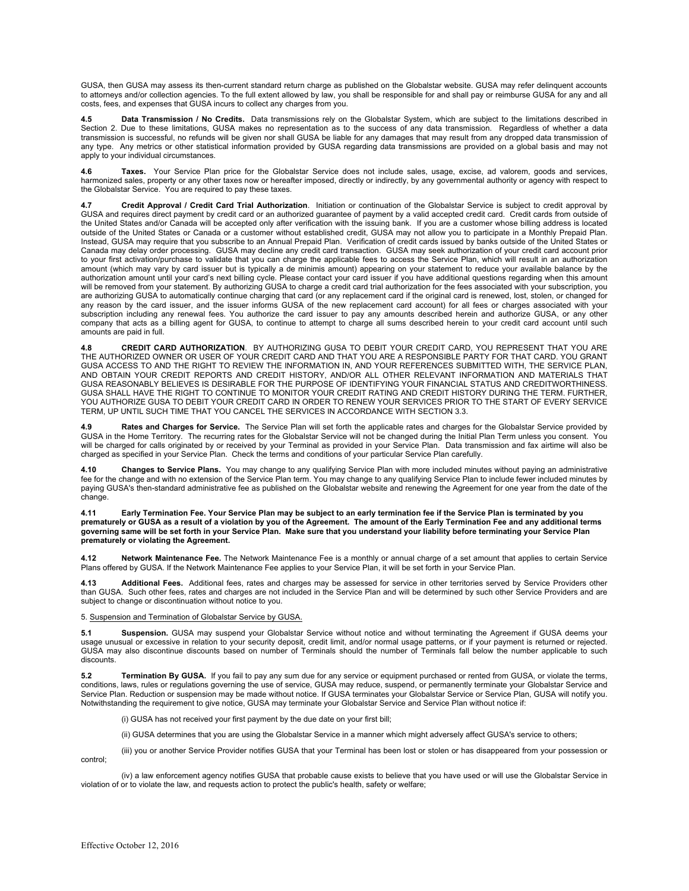GUSA, then GUSA may assess its then-current standard return charge as published on the Globalstar website. GUSA may refer delinquent accounts to attorneys and/or collection agencies. To the full extent allowed by law, you shall be responsible for and shall pay or reimburse GUSA for any and all costs, fees, and expenses that GUSA incurs to collect any charges from you.

**4.5 Data Transmission / No Credits.** Data transmissions rely on the Globalstar System, which are subject to the limitations described in Section 2. Due to these limitations, GUSA makes no representation as to the success of any data transmission. Regardless of whether a data transmission is successful, no refunds will be given nor shall GUSA be liable for any damages that may result from any dropped data transmission of any type. Any metrics or other statistical information provided by GUSA regarding data transmissions are provided on a global basis and may not apply to your individual circumstances.

Taxes. Your Service Plan price for the Globalstar Service does not include sales, usage, excise, ad valorem, goods and services, harmonized sales, property or any other taxes now or hereafter imposed, directly or indirectly, by any governmental authority or agency with respect to the Globalstar Service. You are required to pay these taxes.

**4.7 Credit Approval / Credit Card Trial Authorization**. Initiation or continuation of the Globalstar Service is subject to credit approval by GUSA and requires direct payment by credit card or an authorized quarantee of payment by a valid accepted credit card. Credit cards from outside of the United States and/or Canada will be accepted only after verification with the issuing bank. If you are a customer whose billing address is located outside of the United States or Canada or a customer without established credit, GUSA may not allow you to participate in a Monthly Prepaid Plan. Instead, GUSA may require that you subscribe to an Annual Prepaid Plan. Verification of credit cards issued by banks outside of the United States or Canada may delay order processing. GUSA may decline any credit card transaction. GUSA may seek authorization of your credit card account prior to your first activation/purchase to validate that you can charge the applicable fees to access the Service Plan, which will result in an authorization amount (which may vary by card issuer but is typically a de minimis amount) appearing on your statement to reduce your available balance by the<br>authorization amount until your card's next billing cycle. Please contact your will be removed from your statement. By authorizing GUSA to charge a credit card trial authorization for the fees associated with your subscription, you are authorizing GUSA to automatically continue charging that card (or any replacement card if the original card is renewed, lost, stolen, or changed for any reason by the card issuer, and the issuer informs GUSA of the new replacement card account) for all fees or charges associated with your subscription including any renewal fees. You authorize the card issuer to pay any amounts described herein and authorize GUSA, or any other company that acts as a billing agent for GUSA, to continue to attempt to charge all sums described herein to your credit card account until such amounts are paid in full.

**4.8 CREDIT CARD AUTHORIZATION**. BY AUTHORIZING GUSA TO DEBIT YOUR CREDIT CARD, YOU REPRESENT THAT YOU ARE THE AUTHORIZED OWNER OR USER OF YOUR CREDIT CARD AND THAT YOU ARE A RESPONSIBLE PARTY FOR THAT CARD. YOU GRANT GUSA ACCESS TO AND THE RIGHT TO REVIEW THE INFORMATION IN, AND YOUR REFERENCES SUBMITTED WITH, THE SERVICE PLAN, AND OBTAIN YOUR CREDIT REPORTS AND CREDIT HISTORY, AND/OR ALL OTHER RELEVANT INFORMATION AND MATERIALS THAT GUSA REASONABLY BELIEVES IS DESIRABLE FOR THE PURPOSE OF IDENTIFYING YOUR FINANCIAL STATUS AND CREDITWORTHINESS. GUSA SHALL HAVE THE RIGHT TO CONTINUE TO MONITOR YOUR CREDIT RATING AND CREDIT HISTORY DURING THE TERM. FURTHER, YOU AUTHORIZE GUSA TO DEBIT YOUR CREDIT CARD IN ORDER TO RENEW YOUR SERVICES PRIOR TO THE START OF EVERY SERVICE TERM, UP UNTIL SUCH TIME THAT YOU CANCEL THE SERVICES IN ACCORDANCE WITH SECTION 3.3.

Rates and Charges for Service. The Service Plan will set forth the applicable rates and charges for the Globalstar Service provided by GUSA in the Home Territory. The recurring rates for the Globalstar Service will not be changed during the Initial Plan Term unless you consent. You will be charged for calls originated by or received by your Terminal as provided in your Service Plan. Data transmission and fax airtime will also be charged as specified in your Service Plan. Check the terms and conditions of your particular Service Plan carefully.

**4.10 Changes to Service Plans.** You may change to any qualifying Service Plan with more included minutes without paying an administrative fee for the change and with no extension of the Service Plan term. You may change to any qualifying Service Plan to include fewer included minutes by paying GUSA's then-standard administrative fee as published on the Globalstar website and renewing the Agreement for one year from the date of the change.

**4.11 Early Termination Fee. Your Service Plan may be subject to an early termination fee if the Service Plan is terminated by you prematurely or GUSA as a result of a violation by you of the Agreement. The amount of the Early Termination Fee and any additional terms governing same will be set forth in your Service Plan. Make sure that you understand your liability before terminating your Service Plan prematurely or violating the Agreement.**

**4.12 Network Maintenance Fee.** The Network Maintenance Fee is a monthly or annual charge of a set amount that applies to certain Service Plans offered by GUSA. If the Network Maintenance Fee applies to your Service Plan, it will be set forth in your Service Plan.

**4.13 Additional Fees.** Additional fees, rates and charges may be assessed for service in other territories served by Service Providers other than GUSA. Such other fees, rates and charges are not included in the Service Plan and will be determined by such other Service Providers and are subject to change or discontinuation without notice to you.

5. Suspension and Termination of Globalstar Service by GUSA.

**5.1 Suspension.** GUSA may suspend your Globalstar Service without notice and without terminating the Agreement if GUSA deems your usage unusual or excessive in relation to your security deposit, credit limit, and/or normal usage patterns, or if your payment is returned or rejected. GUSA may also discontinue discounts based on number of Terminals should the number of Terminals fall below the number applicable to such discounts.

**5.2 Termination By GUSA.** If you fail to pay any sum due for any service or equipment purchased or rented from GUSA, or violate the terms, conditions, laws, rules or regulations governing the use of service, GUSA may reduce, suspend, or permanently terminate your Globalstar Service and Service Plan. Reduction or suspension may be made without notice. If GUSA terminates your Globalstar Service or Service Plan, GUSA will notify you. Notwithstanding the requirement to give notice, GUSA may terminate your Globalstar Service and Service Plan without notice if:

(i) GUSA has not received your first payment by the due date on your first bill;

(ii) GUSA determines that you are using the Globalstar Service in a manner which might adversely affect GUSA's service to others;

(iii) you or another Service Provider notifies GUSA that your Terminal has been lost or stolen or has disappeared from your possession or control;

(iv) a law enforcement agency notifies GUSA that probable cause exists to believe that you have used or will use the Globalstar Service in violation of or to violate the law, and requests action to protect the public's health, safety or welfare;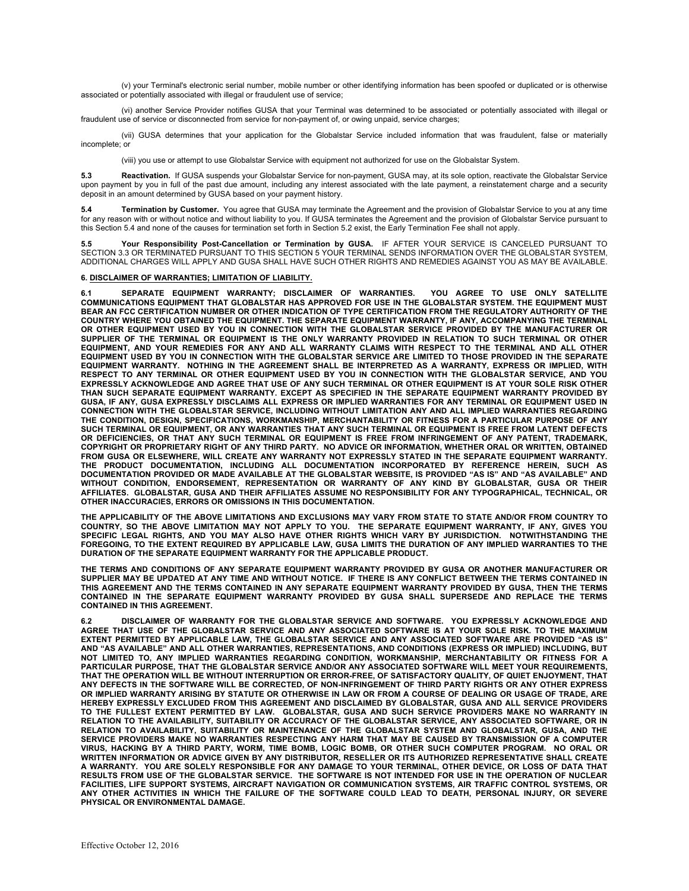(v) your Terminal's electronic serial number, mobile number or other identifying information has been spoofed or duplicated or is otherwise associated or potentially associated with illegal or fraudulent use of service;

(vi) another Service Provider notifies GUSA that your Terminal was determined to be associated or potentially associated with illegal or fraudulent use of service or disconnected from service for non-payment of, or owing unpaid, service charges;

(vii) GUSA determines that your application for the Globalstar Service included information that was fraudulent, false or materially incomplete; or

(viii) you use or attempt to use Globalstar Service with equipment not authorized for use on the Globalstar System.

**5.3 Reactivation.** If GUSA suspends your Globalstar Service for non-payment, GUSA may, at its sole option, reactivate the Globalstar Service<br>upon payment by you in full of the past due amount, including any interest assoc deposit in an amount determined by GUSA based on your payment history.

**5.4 Termination by Customer.** You agree that GUSA may terminate the Agreement and the provision of Globalstar Service to you at any time for any reason with or without notice and without liability to you. If GUSA terminates the Agreement and the provision of Globalstar Service pursuant to this Section 5.4 and none of the causes for termination set forth in Section 5.2 exist, the Early Termination Fee shall not apply.

**5.5 Your Responsibility Post-Cancellation or Termination by GUSA.** IF AFTER YOUR SERVICE IS CANCELED PURSUANT TO SECTION 3.3 OR TERMINATED PURSUANT TO THIS SECTION 5 YOUR TERMINAL SENDS INFORMATION OVER THE GLOBALSTAR SYSTEM, ADDITIONAL CHARGES WILL APPLY AND GUSA SHALL HAVE SUCH OTHER RIGHTS AND REMEDIES AGAINST YOU AS MAY BE AVAILABLE.

## **6. DISCLAIMER OF WARRANTIES; LIMITATION OF LIABILITY.**

**6.1 SEPARATE EQUIPMENT WARRANTY; DISCLAIMER OF WARRANTIES. YOU AGREE TO USE ONLY SATELLITE COMMUNICATIONS EQUIPMENT THAT GLOBALSTAR HAS APPROVED FOR USE IN THE GLOBALSTAR SYSTEM. THE EQUIPMENT MUST BEAR AN FCC CERTIFICATION NUMBER OR OTHER INDICATION OF TYPE CERTIFICATION FROM THE REGULATORY AUTHORITY OF THE COUNTRY WHERE YOU OBTAINED THE EQUIPMENT. THE SEPARATE EQUIPMENT WARRANTY, IF ANY, ACCOMPANYING THE TERMINAL OR OTHER EQUIPMENT USED BY YOU IN CONNECTION WITH THE GLOBALSTAR SERVICE PROVIDED BY THE MANUFACTURER OR SUPPLIER OF THE TERMINAL OR EQUIPMENT IS THE ONLY WARRANTY PROVIDED IN RELATION TO SUCH TERMINAL OR OTHER EQUIPMENT, AND YOUR REMEDIES FOR ANY AND ALL WARRANTY CLAIMS WITH RESPECT TO THE TERMINAL AND ALL OTHER EQUIPMENT USED BY YOU IN CONNECTION WITH THE GLOBALSTAR SERVICE ARE LIMITED TO THOSE PROVIDED IN THE SEPARATE EQUIPMENT WARRANTY. NOTHING IN THE AGREEMENT SHALL BE INTERPRETED AS A WARRANTY, EXPRESS OR IMPLIED, WITH RESPECT TO ANY TERMINAL OR OTHER EQUIPMENT USED BY YOU IN CONNECTION WITH THE GLOBALSTAR SERVICE, AND YOU EXPRESSLY ACKNOWLEDGE AND AGREE THAT USE OF ANY SUCH TERMINAL OR OTHER EQUIPMENT IS AT YOUR SOLE RISK OTHER THAN SUCH SEPARATE EQUIPMENT WARRANTY. EXCEPT AS SPECIFIED IN THE SEPARATE EQUIPMENT WARRANTY PROVIDED BY GUSA, IF ANY, GUSA EXPRESSLY DISCLAIMS ALL EXPRESS OR IMPLIED WARRANTIES FOR ANY TERMINAL OR EQUIPMENT USED IN CONNECTION WITH THE GLOBALSTAR SERVICE, INCLUDING WITHOUT LIMITATION ANY AND ALL IMPLIED WARRANTIES REGARDING THE CONDITION, DESIGN, SPECIFICATIONS, WORKMANSHIP, MERCHANTABILITY OR FITNESS FOR A PARTICULAR PURPOSE OF ANY SUCH TERMINAL OR EQUIPMENT, OR ANY WARRANTIES THAT ANY SUCH TERMINAL OR EQUIPMENT IS FREE FROM LATENT DEFECTS**  OR DEFICIENCIES, OR THAT ANY SUCH TERMINAL OR EQUIPMENT IS FREE FROM INFRINGEMENT OF ANY PATENT, TRADEMARK,<br>COPYRIGHT OR PROPRIETARY RIGHT OF ANY THIRD PARTY. NO ADVICE OR INFORMATION, WHETHER ORAL OR WRITTEN, OBTAINED **FROM GUSA OR ELSEWHERE, WILL CREATE ANY WARRANTY NOT EXPRESSLY STATED IN THE SEPARATE EQUIPMENT WARRANTY. THE PRODUCT DOCUMENTATION, INCLUDING ALL DOCUMENTATION INCORPORATED BY REFERENCE HEREIN, SUCH AS**  DOCUMENTATION PROVIDED OR MADE AVAILABLE AT THE GLOBALSTAR WEBSITE, IS PROVIDED "AS IS" AND "AS AVAILABLE" AND<br>WITHOUT CONDITION, ENDORSEMENT, REPRESENTATION OR WARRANTY OF ANY KIND BY GLOBALSTAR, GUSA OR THEI **AFFILIATES. GLOBALSTAR, GUSA AND THEIR AFFILIATES ASSUME NO RESPONSIBILITY FOR ANY TYPOGRAPHICAL, TECHNICAL, OR OTHER INACCURACIES, ERRORS OR OMISSIONS IN THIS DOCUMENTATION.**

**THE APPLICABILITY OF THE ABOVE LIMITATIONS AND EXCLUSIONS MAY VARY FROM STATE TO STATE AND/OR FROM COUNTRY TO**  COUNTRY, SO THE ABOVE LIMITATION MAY NOT APPLY TO YOU. THE SEPARATE EQUIPMENT WARRANTY, IF ANY, GIVES YOU<br>SPECIFIC LEGAL RIGHTS, AND YOU MAY ALSO HAVE OTHER RIGHTS WHICH VARY BY JURISDICTION. NOTWITHSTANDING THE **FOREGOING, TO THE EXTENT REQUIRED BY APPLICABLE LAW, GUSA LIMITS THE DURATION OF ANY IMPLIED WARRANTIES TO THE DURATION OF THE SEPARATE EQUIPMENT WARRANTY FOR THE APPLICABLE PRODUCT.** 

**THE TERMS AND CONDITIONS OF ANY SEPARATE EQUIPMENT WARRANTY PROVIDED BY GUSA OR ANOTHER MANUFACTURER OR SUPPLIER MAY BE UPDATED AT ANY TIME AND WITHOUT NOTICE. IF THERE IS ANY CONFLICT BETWEEN THE TERMS CONTAINED IN THIS AGREEMENT AND THE TERMS CONTAINED IN ANY SEPARATE EQUIPMENT WARRANTY PROVIDED BY GUSA, THEN THE TERMS CONTAINED IN THE SEPARATE EQUIPMENT WARRANTY PROVIDED BY GUSA SHALL SUPERSEDE AND REPLACE THE TERMS CONTAINED IN THIS AGREEMENT.**

**6.2 DISCLAIMER OF WARRANTY FOR THE GLOBALSTAR SERVICE AND SOFTWARE. YOU EXPRESSLY ACKNOWLEDGE AND AGREE THAT USE OF THE GLOBALSTAR SERVICE AND ANY ASSOCIATED SOFTWARE IS AT YOUR SOLE RISK. TO THE MAXIMUM EXTENT PERMITTED BY APPLICABLE LAW, THE GLOBALSTAR SERVICE AND ANY ASSOCIATED SOFTWARE ARE PROVIDED "AS IS" AND "AS AVAILABLE" AND ALL OTHER WARRANTIES, REPRESENTATIONS, AND CONDITIONS (EXPRESS OR IMPLIED) INCLUDING, BUT NOT LIMITED TO, ANY IMPLIED WARRANTIES REGARDING CONDITION, WORKMANSHIP, MERCHANTABILITY OR FITNESS FOR A PARTICULAR PURPOSE, THAT THE GLOBALSTAR SERVICE AND/OR ANY ASSOCIATED SOFTWARE WILL MEET YOUR REQUIREMENTS, THAT THE OPERATION WILL BE WITHOUT INTERRUPTION OR ERROR-FREE, OF SATISFACTORY QUALITY, OF QUIET ENJOYMENT, THAT ANY DEFECTS IN THE SOFTWARE WILL BE CORRECTED, OF NON-INFRINGEMENT OF THIRD PARTY RIGHTS OR ANY OTHER EXPRESS OR IMPLIED WARRANTY ARISING BY STATUTE OR OTHERWISE IN LAW OR FROM A COURSE OF DEALING OR USAGE OF TRADE, ARE HEREBY EXPRESSLY EXCLUDED FROM THIS AGREEMENT AND DISCLAIMED BY GLOBALSTAR, GUSA AND ALL SERVICE PROVIDERS TO THE FULLEST EXTENT PERMITTED BY LAW. GLOBALSTAR, GUSA AND SUCH SERVICE PROVIDERS MAKE NO WARRANTY IN RELATION TO THE AVAILABILITY, SUITABILITY OR ACCURACY OF THE GLOBALSTAR SERVICE, ANY ASSOCIATED SOFTWARE, OR IN**  RELATION TO AVAILABILITY, SUITABILITY OR MAINTENANCE OF THE GLOBALSTAR SYSTEM AND GLOBALSTAR, GUSA, AND THE<br>SERVICE PROVIDERS MAKE NO WARRANTIES RESPECTING ANY HARM THAT MAY BE CAUSED BY TRANSMISSION OF A COMPUTER **VIRUS, HACKING BY A THIRD PARTY, WORM, TIME BOMB, LOGIC BOMB, OR OTHER SUCH COMPUTER PROGRAM. NO ORAL OR WRITTEN INFORMATION OR ADVICE GIVEN BY ANY DISTRIBUTOR, RESELLER OR ITS AUTHORIZED REPRESENTATIVE SHALL CREATE A WARRANTY. YOU ARE SOLELY RESPONSIBLE FOR ANY DAMAGE TO YOUR TERMINAL, OTHER DEVICE, OR LOSS OF DATA THAT RESULTS FROM USE OF THE GLOBALSTAR SERVICE. THE SOFTWARE IS NOT INTENDED FOR USE IN THE OPERATION OF NUCLEAR FACILITIES, LIFE SUPPORT SYSTEMS, AIRCRAFT NAVIGATION OR COMMUNICATION SYSTEMS, AIR TRAFFIC CONTROL SYSTEMS, OR ANY OTHER ACTIVITIES IN WHICH THE FAILURE OF THE SOFTWARE COULD LEAD TO DEATH, PERSONAL INJURY, OR SEVERE PHYSICAL OR ENVIRONMENTAL DAMAGE.**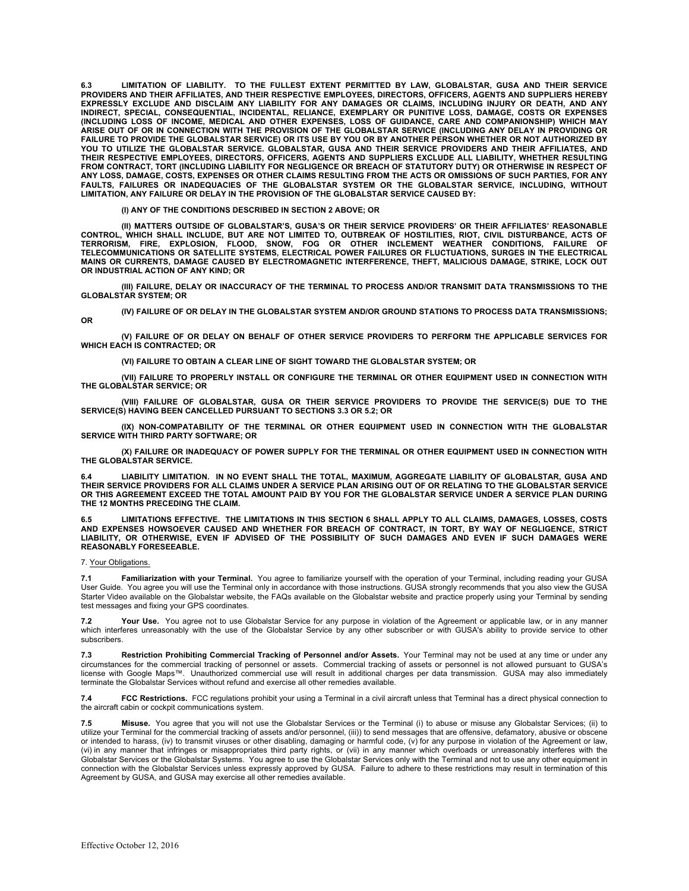**6.3 LIMITATION OF LIABILITY. TO THE FULLEST EXTENT PERMITTED BY LAW, GLOBALSTAR, GUSA AND THEIR SERVICE PROVIDERS AND THEIR AFFILIATES, AND THEIR RESPECTIVE EMPLOYEES, DIRECTORS, OFFICERS, AGENTS AND SUPPLIERS HEREBY EXPRESSLY EXCLUDE AND DISCLAIM ANY LIABILITY FOR ANY DAMAGES OR CLAIMS, INCLUDING INJURY OR DEATH, AND ANY INDIRECT, SPECIAL, CONSEQUENTIAL, INCIDENTAL, RELIANCE, EXEMPLARY OR PUNITIVE LOSS, DAMAGE, COSTS OR EXPENSES (INCLUDING LOSS OF INCOME, MEDICAL AND OTHER EXPENSES, LOSS OF GUIDANCE, CARE AND COMPANIONSHIP) WHICH MAY ARISE OUT OF OR IN CONNECTION WITH THE PROVISION OF THE GLOBALSTAR SERVICE (INCLUDING ANY DELAY IN PROVIDING OR FAILURE TO PROVIDE THE GLOBALSTAR SERVICE) OR ITS USE BY YOU OR BY ANOTHER PERSON WHETHER OR NOT AUTHORIZED BY**  YOU TO UTILIZE THE GLOBALSTAR SERVICE. GLOBALSTAR, GUSA AND THEIR SERVICE PROVIDERS AND THEIR AFFILIATES, AND<br>THEIR RESPECTIVE EMPLOYEES, DIRECTORS, OFFICERS, AGENTS AND SUPPLIERS EXCLUDE ALL LIABILITY, WHETHER RESULTING **FROM CONTRACT, TORT (INCLUDING LIABILITY FOR NEGLIGENCE OR BREACH OF STATUTORY DUTY) OR OTHERWISE IN RESPECT OF ANY LOSS, DAMAGE, COSTS, EXPENSES OR OTHER CLAIMS RESULTING FROM THE ACTS OR OMISSIONS OF SUCH PARTIES, FOR ANY FAULTS, FAILURES OR INADEQUACIES OF THE GLOBALSTAR SYSTEM OR THE GLOBALSTAR SERVICE, INCLUDING, WITHOUT LIMITATION, ANY FAILURE OR DELAY IN THE PROVISION OF THE GLOBALSTAR SERVICE CAUSED BY:**

**(I) ANY OF THE CONDITIONS DESCRIBED IN SECTION 2 ABOVE; OR**

**(II) MATTERS OUTSIDE OF GLOBALSTAR'S, GUSA'S OR THEIR SERVICE PROVIDERS' OR THEIR AFFILIATES' REASONABLE CONTROL, WHICH SHALL INCLUDE, BUT ARE NOT LIMITED TO, OUTBREAK OF HOSTILITIES, RIOT, CIVIL DISTURBANCE, ACTS OF TERRORISM, FIRE, EXPLOSION, FLOOD, SNOW, FOG OR OTHER INCLEMENT WEATHER CONDITIONS, FAILURE OF TELECOMMUNICATIONS OR SATELLITE SYSTEMS, ELECTRICAL POWER FAILURES OR FLUCTUATIONS, SURGES IN THE ELECTRICAL MAINS OR CURRENTS, DAMAGE CAUSED BY ELECTROMAGNETIC INTERFERENCE, THEFT, MALICIOUS DAMAGE, STRIKE, LOCK OUT OR INDUSTRIAL ACTION OF ANY KIND; OR**

**(III) FAILURE, DELAY OR INACCURACY OF THE TERMINAL TO PROCESS AND/OR TRANSMIT DATA TRANSMISSIONS TO THE GLOBALSTAR SYSTEM; OR**

**(IV) FAILURE OF OR DELAY IN THE GLOBALSTAR SYSTEM AND/OR GROUND STATIONS TO PROCESS DATA TRANSMISSIONS; OR**

**(V) FAILURE OF OR DELAY ON BEHALF OF OTHER SERVICE PROVIDERS TO PERFORM THE APPLICABLE SERVICES FOR WHICH EACH IS CONTRACTED; OR**

**(VI) FAILURE TO OBTAIN A CLEAR LINE OF SIGHT TOWARD THE GLOBALSTAR SYSTEM; OR**

**(VII) FAILURE TO PROPERLY INSTALL OR CONFIGURE THE TERMINAL OR OTHER EQUIPMENT USED IN CONNECTION WITH THE GLOBALSTAR SERVICE; OR**

**(VIII) FAILURE OF GLOBALSTAR, GUSA OR THEIR SERVICE PROVIDERS TO PROVIDE THE SERVICE(S) DUE TO THE SERVICE(S) HAVING BEEN CANCELLED PURSUANT TO SECTIONS 3.3 OR 5.2; OR**

**(IX) NON-COMPATABILITY OF THE TERMINAL OR OTHER EQUIPMENT USED IN CONNECTION WITH THE GLOBALSTAR SERVICE WITH THIRD PARTY SOFTWARE; OR**

**(X) FAILURE OR INADEQUACY OF POWER SUPPLY FOR THE TERMINAL OR OTHER EQUIPMENT USED IN CONNECTION WITH THE GLOBALSTAR SERVICE.**

**6.4 LIABILITY LIMITATION. IN NO EVENT SHALL THE TOTAL, MAXIMUM, AGGREGATE LIABILITY OF GLOBALSTAR, GUSA AND THEIR SERVICE PROVIDERS FOR ALL CLAIMS UNDER A SERVICE PLAN ARISING OUT OF OR RELATING TO THE GLOBALSTAR SERVICE OR THIS AGREEMENT EXCEED THE TOTAL AMOUNT PAID BY YOU FOR THE GLOBALSTAR SERVICE UNDER A SERVICE PLAN DURING THE 12 MONTHS PRECEDING THE CLAIM.**

**6.5 LIMITATIONS EFFECTIVE. THE LIMITATIONS IN THIS SECTION 6 SHALL APPLY TO ALL CLAIMS, DAMAGES, LOSSES, COSTS AND EXPENSES HOWSOEVER CAUSED AND WHETHER FOR BREACH OF CONTRACT, IN TORT, BY WAY OF NEGLIGENCE, STRICT LIABILITY, OR OTHERWISE, EVEN IF ADVISED OF THE POSSIBILITY OF SUCH DAMAGES AND EVEN IF SUCH DAMAGES WERE REASONABLY FORESEEABLE.**

7. Your Obligations.

**7.1 Familiarization with your Terminal.** You agree to familiarize yourself with the operation of your Terminal, including reading your GUSA User Guide. You agree you will use the Terminal only in accordance with those instructions. GUSA strongly recommends that you also view the GUSA Starter Video available on the Globalstar website, the FAQs available on the Globalstar website and practice properly using your Terminal by sending test messages and fixing your GPS coordinates.

**7.2 Your Use.** You agree not to use Globalstar Service for any purpose in violation of the Agreement or applicable law, or in any manner which interferes unreasonably with the use of the Globalstar Service by any other subscriber or with GUSA's ability to provide service to other subscribers.

**7.3 Restriction Prohibiting Commercial Tracking of Personnel and/or Assets.** Your Terminal may not be used at any time or under any circumstances for the commercial tracking of personnel or assets. Commercial tracking of assets or personnel is not allowed pursuant to GUSA's license with Google Maps™. Unauthorized commercial use will result in additional charges per data transmission. GUSA may also immediately terminate the Globalstar Services without refund and exercise all other remedies available.

**7.4 FCC Restrictions.** FCC regulations prohibit your using a Terminal in a civil aircraft unless that Terminal has a direct physical connection to the aircraft cabin or cockpit communications system.

**7.5 Misuse.** You agree that you will not use the Globalstar Services or the Terminal (i) to abuse or misuse any Globalstar Services; (ii) to utilize your Terminal for the commercial tracking of assets and/or personnel, (iii)) to send messages that are offensive, defamatory, abusive or obscene or intended to harass, (iv) to transmit viruses or other disabling, damaging or harmful code, (v) for any purpose in violation of the Agreement or law, (vi) in any manner that infringes or misappropriates third party rights, or (vii) in any manner which overloads or unreasonably interferes with the Globalstar Services or the Globalstar Systems. You agree to use the Globalstar Services only with the Terminal and not to use any other equipment in connection with the Globalstar Services unless expressly approved by GUSA. Failure to adhere to these restrictions may result in termination of this Agreement by GUSA, and GUSA may exercise all other remedies available.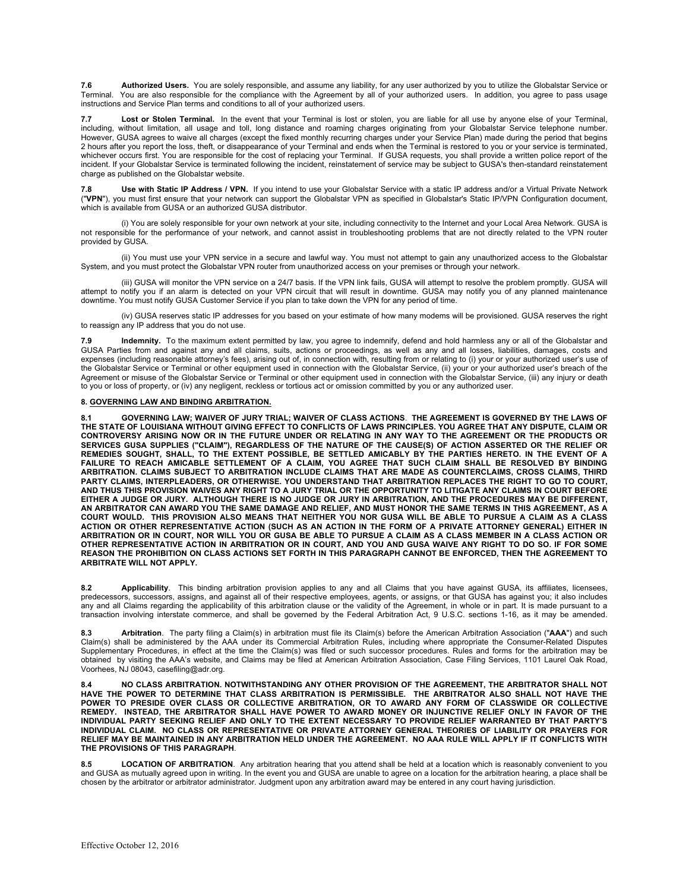**7.6 Authorized Users.** You are solely responsible, and assume any liability, for any user authorized by you to utilize the Globalstar Service or Terminal. You are also responsible for the compliance with the Agreement by all of your authorized users. In addition, you agree to pass usage instructions and Service Plan terms and conditions to all of your authorized users.

**7.7 Lost or Stolen Terminal.** In the event that your Terminal is lost or stolen, you are liable for all use by anyone else of your Terminal, including, without limitation, all usage and toll, long distance and roaming charges originating from your Globalstar Service telephone number. However, GUSA agrees to waive all charges (except the fixed monthly recurring charges under your Service Plan) made during the period that begins 2 hours after you report the loss, theft, or disappearance of your Terminal and ends when the Terminal is restored to you or your service is terminated, whichever occurs first. You are responsible for the cost of replacing your Terminal. If GUSA requests, you shall provide a written police report of the<br>incident. If your Globalstar Service is terminated following the incid charge as published on the Globalstar website.

**7.8 Use with Static IP Address / VPN.** If you intend to use your Globalstar Service with a static IP address and/or a Virtual Private Network ("**VPN**"), you must first ensure that your network can support the Globalstar VPN as specified in Globalstar's Static IP/VPN Configuration document, which is available from GUSA or an authorized GUSA distributor.

(i) You are solely responsible for your own network at your site, including connectivity to the Internet and your Local Area Network. GUSA is not responsible for the performance of your network, and cannot assist in troubleshooting problems that are not directly related to the VPN router provided by GUSA.

(ii) You must use your VPN service in a secure and lawful way. You must not attempt to gain any unauthorized access to the Globalstar System, and you must protect the Globalstar VPN router from unauthorized access on your premises or through your network.

(iii) GUSA will monitor the VPN service on a 24/7 basis. If the VPN link fails, GUSA will attempt to resolve the problem promptly. GUSA will attempt to notify you if an alarm is detected on your VPN circuit that will result in downtime. GUSA may notify you of any planned maintenance downtime. You must notify GUSA Customer Service if you plan to take down the VPN for any period of time.

(iv) GUSA reserves static IP addresses for you based on your estimate of how many modems will be provisioned. GUSA reserves the right to reassign any IP address that you do not use.

**7.9 Indemnity.** To the maximum extent permitted by law, you agree to indemnify, defend and hold harmless any or all of the Globalstar and GUSA Parties from and against any and all claims, suits, actions or proceedings, as well as any and all losses, liabilities, damages, costs and expenses (including reasonable attorney's fees), arising out of, in connection with, resulting from or relating to (i) your or your authorized user's use of the Globalstar Service or Terminal or other equipment used in connection with the Globalstar Service, (ii) your or your authorized user's breach of the Agreement or misuse of the Globalstar Service or Terminal or other equipment used in connection with the Globalstar Service, (iii) any injury or death to you or loss of property, or (iv) any negligent, reckless or tortious act or omission committed by you or any authorized user.

## **8. GOVERNING LAW AND BINDING ARBITRATION.**

**8.1 GOVERNING LAW; WAIVER OF JURY TRIAL; WAIVER OF CLASS ACTIONS**. **THE AGREEMENT IS GOVERNED BY THE LAWS OF THE STATE OF LOUISIANA WITHOUT GIVING EFFECT TO CONFLICTS OF LAWS PRINCIPLES. YOU AGREE THAT ANY DISPUTE, CLAIM OR CONTROVERSY ARISING NOW OR IN THE FUTURE UNDER OR RELATING IN ANY WAY TO THE AGREEMENT OR THE PRODUCTS OR**  SERVICES GUSA SUPPLIES ("CLAIM"), REGARDLESS OF THE NATURE OF THE CAUSE(S) OF ACTION ASSERTED OR THE RELIEF OR<br>REMEDIES SOUGHT, SHALL, TO THE EXTENT POSSIBLE, BE SETTLED AMICABLY BY THE PARTIES HERETO. IN THE EVENT OF A **FAILURE TO REACH AMICABLE SETTLEMENT OF A CLAIM, YOU AGREE THAT SUCH CLAIM SHALL BE RESOLVED BY BINDING ARBITRATION. CLAIMS SUBJECT TO ARBITRATION INCLUDE CLAIMS THAT ARE MADE AS COUNTERCLAIMS, CROSS CLAIMS, THIRD PARTY CLAIMS, INTERPLEADERS, OR OTHERWISE. YOU UNDERSTAND THAT ARBITRATION REPLACES THE RIGHT TO GO TO COURT, AND THUS THIS PROVISION WAIVES ANY RIGHT TO A JURY TRIAL OR THE OPPORTUNITY TO LITIGATE ANY CLAIMS IN COURT BEFORE EITHER A JUDGE OR JURY. ALTHOUGH THERE IS NO JUDGE OR JURY IN ARBITRATION, AND THE PROCEDURES MAY BE DIFFERENT, AN ARBITRATOR CAN AWARD YOU THE SAME DAMAGE AND RELIEF, AND MUST HONOR THE SAME TERMS IN THIS AGREEMENT, AS A COURT WOULD. THIS PROVISION ALSO MEANS THAT NEITHER YOU NOR GUSA WILL BE ABLE TO PURSUE A CLAIM AS A CLASS**  ACTION OR OTHER REPRESENTATIVE ACTION (SUCH AS AN ACTION IN THE FORM OF A PRIVATE ATTORNEY GENERAL) EITHER IN<br>ARBITRATION OR IN COURT, NOR WILL YOU OR GUSA BE ABLE TO PURSUE A CLAIM AS A CLASS MEMBER IN A CLASS ACTION OR **OTHER REPRESENTATIVE ACTION IN ARBITRATION OR IN COURT, AND YOU AND GUSA WAIVE ANY RIGHT TO DO SO. IF FOR SOME REASON THE PROHIBITION ON CLASS ACTIONS SET FORTH IN THIS PARAGRAPH CANNOT BE ENFORCED, THEN THE AGREEMENT TO ARBITRATE WILL NOT APPLY.**

**8.2 Applicability**. This binding arbitration provision applies to any and all Claims that you have against GUSA, its affiliates, licensees, predecessors, successors, assigns, and against all of their respective employees, agents, or assigns, or that GUSA has against you; it also includes any and all Claims regarding the applicability of this arbitration clause or the validity of the Agreement, in whole or in part. It is made pursuant to a transaction involving interstate commerce, and shall be governed by the Federal Arbitration Act, 9 U.S.C. sections 1-16, as it may be amended.

8.3 **Arbitration**. The party filing a Claim(s) in arbitration must file its Claim(s) before the American Arbitration Association ("AAA") and such<br>Claim(s) shall be administered by the AAA under its Commercial Arbitration R Supplementary Procedures, in effect at the time the Claim(s) was filed or such successor procedures. Rules and forms for the arbitration may be obtained by visiting the AAA's website, and Claims may be filed at American Arbitration Association, Case Filing Services, 1101 Laurel Oak Road, Voorhees, NJ 08043, casefiling@adr.org.

**8.4 NO CLASS ARBITRATION. NOTWITHSTANDING ANY OTHER PROVISION OF THE AGREEMENT, THE ARBITRATOR SHALL NOT HAVE THE POWER TO DETERMINE THAT CLASS ARBITRATION IS PERMISSIBLE. THE ARBITRATOR ALSO SHALL NOT HAVE THE POWER TO PRESIDE OVER CLASS OR COLLECTIVE ARBITRATION, OR TO AWARD ANY FORM OF CLASSWIDE OR COLLECTIVE REMEDY. INSTEAD, THE ARBITRATOR SHALL HAVE POWER TO AWARD MONEY OR INJUNCTIVE RELIEF ONLY IN FAVOR OF THE INDIVIDUAL PARTY SEEKING RELIEF AND ONLY TO THE EXTENT NECESSARY TO PROVIDE RELIEF WARRANTED BY THAT PARTY'S**  INDIVIDUAL CLAIM. NO CLASS OR REPRESENTATIVE OR PRIVATE ATTORNEY GENERAL THEORIES OF LIABILITY OR PRAYERS FOR<br>RELIEF MAY BE MAINTAINED IN ANY ARBITRATION HELD UNDER THE AGREEMENT. NO AAA RULE WILL APPLY IF IT CONFLICTS W **THE PROVISIONS OF THIS PARAGRAPH**.

**8.5 LOCATION OF ARBITRATION**. Any arbitration hearing that you attend shall be held at a location which is reasonably convenient to you and GUSA as mutually agreed upon in writing. In the event you and GUSA are unable to agree on a location for the arbitration hearing, a place shall be chosen by the arbitrator or arbitrator administrator. Judgment upon any arbitration award may be entered in any court having jurisdiction.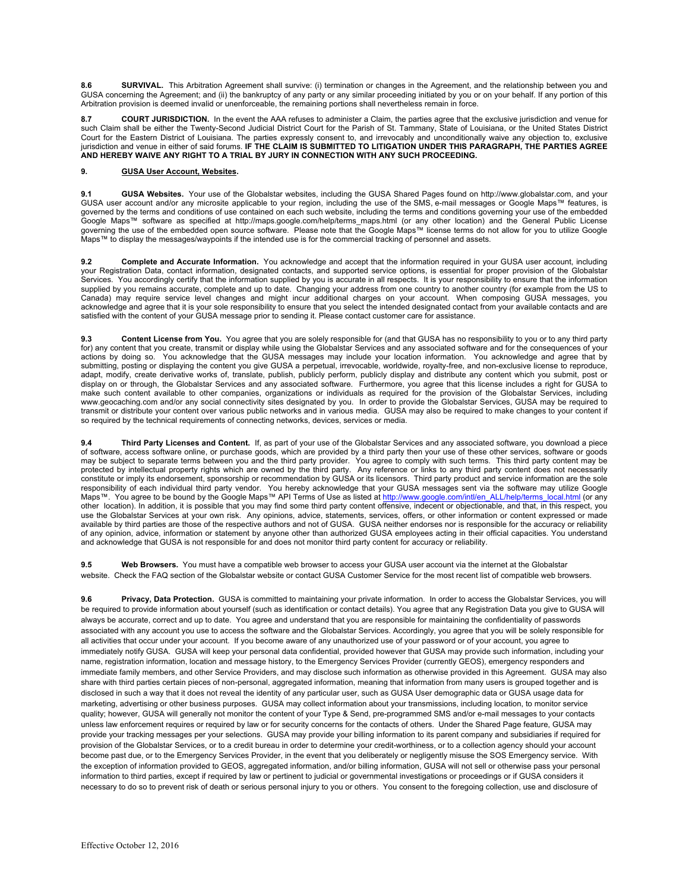**8.6 SURVIVAL.** This Arbitration Agreement shall survive: (i) termination or changes in the Agreement, and the relationship between you and GUSA concerning the Agreement; and (ii) the bankruptcy of any party or any similar proceeding initiated by you or on your behalf. If any portion of this Arbitration provision is deemed invalid or unenforceable, the remaining portions shall nevertheless remain in force.

8.7 **COURT JURISDICTION.** In the event the AAA refuses to administer a Claim, the parties agree that the exclusive jurisdiction and venue for such Claim shall be either the Twenty-Second Judicial District Court for the Parish of St. Tammany, State of Louisiana, or the United States District Court for the Eastern District of Louisiana. The parties expressly consent to, and irrevocably and unconditionally waive any objection to, exclusive jurisdiction and venue in either of said forums. **IF THE CLAIM IS SUBMITTED TO LITIGATION UNDER THIS PARAGRAPH, THE PARTIES AGREE AND HEREBY WAIVE ANY RIGHT TO A TRIAL BY JURY IN CONNECTION WITH ANY SUCH PROCEEDING.**

# **9. GUSA User Account, Websites.**

**9.1 GUSA Websites.** Your use of the Globalstar websites, including the GUSA Shared Pages found on http://www.globalstar.com, and your GUSA user account and/or any microsite applicable to your region, including the use of the SMS, e-mail messages or Google Maps™ features, is governed by the terms and conditions of use contained on each such website, including the terms and conditions governing your use of the embedded<br>Google Maps™ software as specified at http://maps.google.com/help/terms\_map governing the use of the embedded open source software. Please note that the Google Maps™ license terms do not allow for you to utilize Google Maps™ to display the messages/waypoints if the intended use is for the commercial tracking of personnel and assets.

**9.2 Complete and Accurate Information.** You acknowledge and accept that the information required in your GUSA user account, including your Registration Data, contact information, designated contacts, and supported service options, is essential for proper provision of the Globalstar Services. You accordingly certify that the information supplied by you is accurate in all respects. It is your responsibility to ensure that the information supplied by you remains accurate, complete and up to date. Changing your address from one country to another country (for example from the US to<br>Canada) may require service level changes and might incur additional charges acknowledge and agree that it is your sole responsibility to ensure that you select the intended designated contact from your available contacts and are satisfied with the content of your GUSA message prior to sending it. Please contact customer care for assistance.

**9.3 Content License from You.** You agree that you are solely responsible for (and that GUSA has no responsibility to you or to any third party for) any content that you create, transmit or display while using the Globalstar Services and any associated software and for the consequences of your actions by doing so. You acknowledge that the GUSA messages may include your location information. You acknowledge and agree that by submitting, posting or displaying the content you give GUSA a perpetual, irrevocable, worldwide, royalty-free, and non-exclusive license to reproduce, adapt, modify, create derivative works of, translate, publish, publicly perform, publicly display and distribute any content which you submit, post or display on or through, the Globalstar Services and any associated software. Furthermore, you agree that this license includes a right for GUSA to<br>make such content available to other companies, organizations or individuals www.geocaching.com and/or any social connectivity sites designated by you. In order to provide the Globalstar Services, GUSA may be required to transmit or distribute your content over various public networks and in various media. GUSA may also be required to make changes to your content if so required by the technical requirements of connecting networks, devices, services or media.

**9.4 Third Party Licenses and Content.** If, as part of your use of the Globalstar Services and any associated software, you download a piece of software, access software online, or purchase goods, which are provided by a third party then your use of these other services, software or goods<br>may be subject to separate terms between you and the third party provider protected by intellectual property rights which are owned by the third party. Any reference or links to any third party content does not necessarily<br>constitute or imply its endorsement, sponsorship or recommendation by GUS responsibility of each individual third party vendor. You hereby acknowledge that your GUSA messages sent via the software may utilize Google<br>Maps™. You agree to be bound by the Google Maps™ API Terms of Use as listed at other location). In addition, it is possible that you may find some third party content offensive, indecent or objectionable, and that, in this respect, you use the Globalstar Services at your own risk. Any opinions, advice, statements, services, offers, or other information or content expressed or made available by third parties are those of the respective authors and not of GUSA. GUSA neither endorses nor is responsible for the accuracy or reliability of any opinion, advice, information or statement by anyone other than authorized GUSA employees acting in their official capacities. You understand and acknowledge that GUSA is not responsible for and does not monitor third party content for accuracy or reliability.

**9.5 Web Browsers.** You must have a compatible web browser to access your GUSA user account via the internet at the Globalstar website. Check the FAQ section of the Globalstar website or contact GUSA Customer Service for the most recent list of compatible web browsers.

9.6 **Privacy, Data Protection.** GUSA is committed to maintaining your private information. In order to access the Globalstar Services, you will be required to provide information about yourself (such as identification or contact details). You agree that any Registration Data you give to GUSA will always be accurate, correct and up to date. You agree and understand that you are responsible for maintaining the confidentiality of passwords associated with any account you use to access the software and the Globalstar Services. Accordingly, you agree that you will be solely responsible for all activities that occur under your account. If you become aware of any unauthorized use of your password or of your account, you agree to immediately notify GUSA. GUSA will keep your personal data confidential, provided however that GUSA may provide such information, including your name, registration information, location and message history, to the Emergency Services Provider (currently GEOS), emergency responders and immediate family members, and other Service Providers, and may disclose such information as otherwise provided in this Agreement. GUSA may also share with third parties certain pieces of non-personal, aggregated information, meaning that information from many users is grouped together and is disclosed in such a way that it does not reveal the identity of any particular user, such as GUSA User demographic data or GUSA usage data for marketing, advertising or other business purposes. GUSA may collect information about your transmissions, including location, to monitor service quality; however, GUSA will generally not monitor the content of your Type & Send, pre-programmed SMS and/or e-mail messages to your contacts unless law enforcement requires or required by law or for security concerns for the contacts of others. Under the Shared Page feature, GUSA may provide your tracking messages per your selections. GUSA may provide your billing information to its parent company and subsidiaries if required for provision of the Globalstar Services, or to a credit bureau in order to determine your credit-worthiness, or to a collection agency should your account become past due, or to the Emergency Services Provider, in the event that you deliberately or negligently misuse the SOS Emergency service. With the exception of information provided to GEOS, aggregated information, and/or billing information, GUSA will not sell or otherwise pass your personal information to third parties, except if required by law or pertinent to judicial or governmental investigations or proceedings or if GUSA considers it necessary to do so to prevent risk of death or serious personal injury to you or others. You consent to the foregoing collection, use and disclosure of